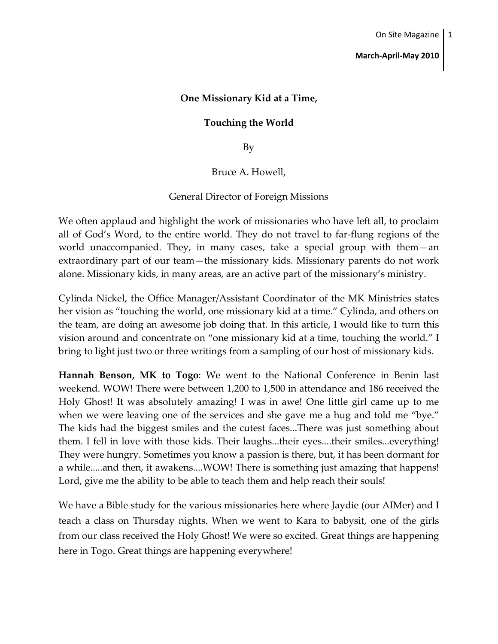## **March-April-May 2010**

# **One Missionary Kid at a Time,**

## **Touching the World**

By

Bruce A. Howell,

### General Director of Foreign Missions

We often applaud and highlight the work of missionaries who have left all, to proclaim all of God's Word, to the entire world. They do not travel to far-flung regions of the world unaccompanied. They, in many cases, take a special group with them—an extraordinary part of our team—the missionary kids. Missionary parents do not work alone. Missionary kids, in many areas, are an active part of the missionary's ministry.

Cylinda Nickel, the Office Manager/Assistant Coordinator of the MK Ministries states her vision as "touching the world, one missionary kid at a time." Cylinda, and others on the team, are doing an awesome job doing that. In this article, I would like to turn this vision around and concentrate on "one missionary kid at a time, touching the world." I bring to light just two or three writings from a sampling of our host of missionary kids.

**Hannah Benson, MK to Togo**: We went to the National Conference in Benin last weekend. WOW! There were between 1,200 to 1,500 in attendance and 186 received the Holy Ghost! It was absolutely amazing! I was in awe! One little girl came up to me when we were leaving one of the services and she gave me a hug and told me "bye." The kids had the biggest smiles and the cutest faces...There was just something about them. I fell in love with those kids. Their laughs...their eyes....their smiles...everything! They were hungry. Sometimes you know a passion is there, but, it has been dormant for a while.....and then, it awakens....WOW! There is something just amazing that happens! Lord, give me the ability to be able to teach them and help reach their souls!

We have a Bible study for the various missionaries here where Jaydie (our AIMer) and I teach a class on Thursday nights. When we went to Kara to babysit, one of the girls from our class received the Holy Ghost! We were so excited. Great things are happening here in Togo. Great things are happening everywhere!